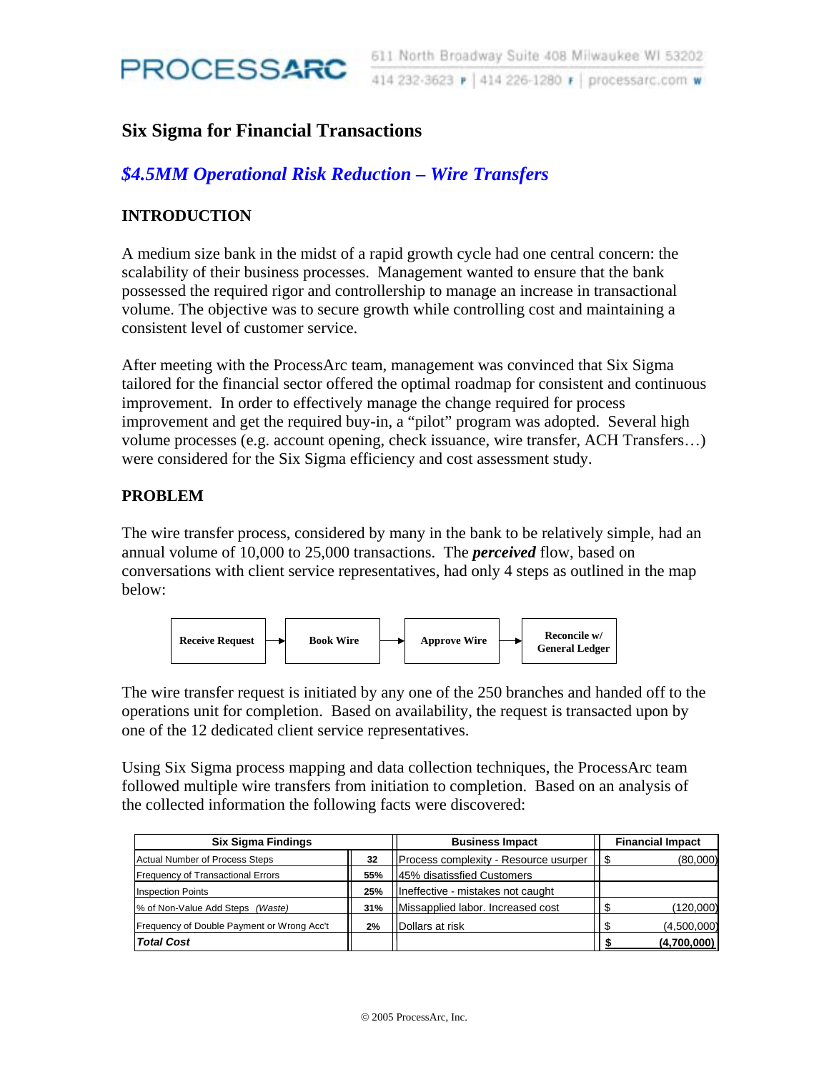

## **Six Sigma for Financial Transactions**

# *\$4.5MM Operational Risk Reduction – Wire Transfers*

## **INTRODUCTION**

A medium size bank in the midst of a rapid growth cycle had one central concern: the scalability of their business processes. Management wanted to ensure that the bank possessed the required rigor and controllership to manage an increase in transactional volume. The objective was to secure growth while controlling cost and maintaining a consistent level of customer service.

After meeting with the ProcessArc team, management was convinced that Six Sigma tailored for the financial sector offered the optimal roadmap for consistent and continuous improvement. In order to effectively manage the change required for process improvement and get the required buy-in, a "pilot" program was adopted. Several high volume processes (e.g. account opening, check issuance, wire transfer, ACH Transfers…) were considered for the Six Sigma efficiency and cost assessment study.

#### **PROBLEM**

The wire transfer process, considered by many in the bank to be relatively simple, had an annual volume of 10,000 to 25,000 transactions. The *perceived* flow, based on conversations with client service representatives, had only 4 steps as outlined in the map below:



The wire transfer request is initiated by any one of the 250 branches and handed off to the operations unit for completion. Based on availability, the request is transacted upon by one of the 12 dedicated client service representatives.

Using Six Sigma process mapping and data collection techniques, the ProcessArc team followed multiple wire transfers from initiation to completion. Based on an analysis of the collected information the following facts were discovered:

| <b>Six Sigma Findings</b>                  |     | <b>Business Impact</b>                 | <b>Financial Impact</b> |  |
|--------------------------------------------|-----|----------------------------------------|-------------------------|--|
| <b>Actual Number of Process Steps</b>      | 32  | IProcess complexity - Resource usurper | (80,000)<br>- 33        |  |
| <b>Frequency of Transactional Errors</b>   | 55% | 145% disatissfied Customers            |                         |  |
| <b>Inspection Points</b>                   | 25% | Ilneffective - mistakes not caught     |                         |  |
| % of Non-Value Add Steps (Waste)           | 31% | Missapplied labor. Increased cost      | (120,000)               |  |
| Frequency of Double Payment or Wrong Acc't | 2%  | Dollars at risk                        | (4,500,000)             |  |
| <b>Total Cost</b>                          |     |                                        | (4,700,000)             |  |